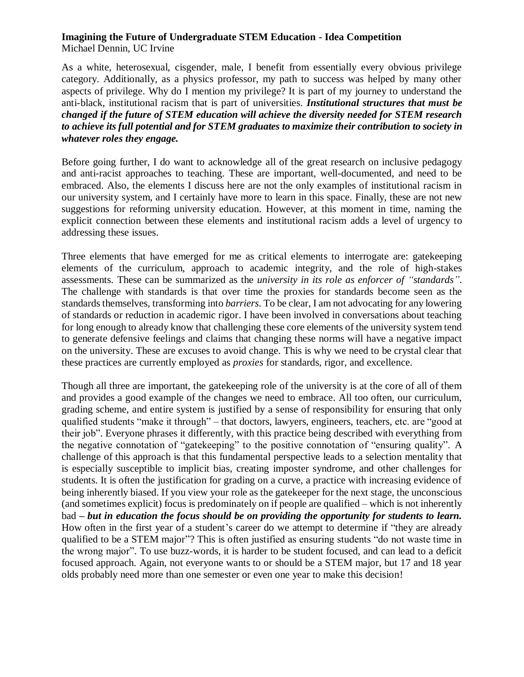## **Imagining the Future of Undergraduate STEM Education - Idea Competition** Michael Dennin, UC Irvine

As a white, heterosexual, cisgender, male, I benefit from essentially every obvious privilege category. Additionally, as a physics professor, my path to success was helped by many other aspects of privilege. Why do I mention my privilege? It is part of my journey to understand the anti-black, institutional racism that is part of universities. *Institutional structures that must be changed if the future of STEM education will achieve the diversity needed for STEM research to achieve its full potential and for STEM graduates to maximize their contribution to society in whatever roles they engage.*

Before going further, I do want to acknowledge all of the great research on inclusive pedagogy and anti-racist approaches to teaching. These are important, well-documented, and need to be embraced. Also, the elements I discuss here are not the only examples of institutional racism in our university system, and I certainly have more to learn in this space. Finally, these are not new suggestions for reforming university education. However, at this moment in time, naming the explicit connection between these elements and institutional racism adds a level of urgency to addressing these issues.

Three elements that have emerged for me as critical elements to interrogate are: gatekeeping elements of the curriculum, approach to academic integrity, and the role of high-stakes assessments. These can be summarized as the *university in its role as enforcer of "standards"*. The challenge with standards is that over time the proxies for standards become seen as the standards themselves, transforming into *barriers*. To be clear, I am not advocating for any lowering of standards or reduction in academic rigor. I have been involved in conversations about teaching for long enough to already know that challenging these core elements of the university system tend to generate defensive feelings and claims that changing these norms will have a negative impact on the university. These are excuses to avoid change. This is why we need to be crystal clear that these practices are currently employed as *proxies* for standards, rigor, and excellence.

Though all three are important, the gatekeeping role of the university is at the core of all of them and provides a good example of the changes we need to embrace. All too often, our curriculum, grading scheme, and entire system is justified by a sense of responsibility for ensuring that only qualified students "make it through" – that doctors, lawyers, engineers, teachers, etc. are "good at their job". Everyone phrases it differently, with this practice being described with everything from the negative connotation of "gatekeeping" to the positive connotation of "ensuring quality". A challenge of this approach is that this fundamental perspective leads to a selection mentality that is especially susceptible to implicit bias, creating imposter syndrome, and other challenges for students. It is often the justification for grading on a curve, a practice with increasing evidence of being inherently biased. If you view your role as the gatekeeper for the next stage, the unconscious (and sometimes explicit) focus is predominately on if people are qualified – which is not inherently bad *– but in education the focus should be on providing the opportunity for students to learn.* How often in the first year of a student's career do we attempt to determine if "they are already qualified to be a STEM major"? This is often justified as ensuring students "do not waste time in the wrong major". To use buzz-words, it is harder to be student focused, and can lead to a deficit focused approach. Again, not everyone wants to or should be a STEM major, but 17 and 18 year olds probably need more than one semester or even one year to make this decision!